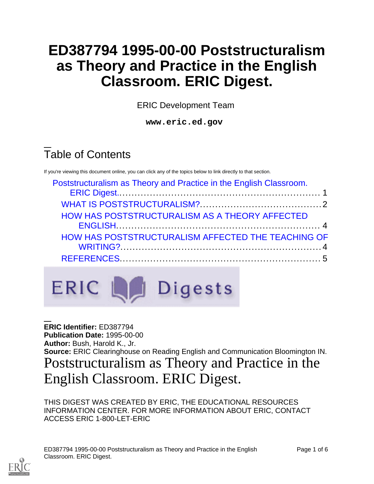# **ED387794 1995-00-00 Poststructuralism as Theory and Practice in the English Classroom. ERIC Digest.**

ERIC Development Team

**www.eric.ed.gov**

# Table of Contents

If you're viewing this document online, you can click any of the topics below to link directly to that section.

| Poststructuralism as Theory and Practice in the English Classroom. |  |
|--------------------------------------------------------------------|--|
|                                                                    |  |
| <b>HOW HAS POSTSTRUCTURALISM AS A THEORY AFFECTED</b>              |  |
|                                                                    |  |
| HOW HAS POSTSTRUCTURALISM AFFECTED THE TEACHING OF                 |  |
|                                                                    |  |
|                                                                    |  |

## ERIC LA Digests

<span id="page-0-0"></span>**ERIC Identifier:** ED387794 **Publication Date:** 1995-00-00 **Author:** Bush, Harold K., Jr. **Source:** ERIC Clearinghouse on Reading English and Communication Bloomington IN. Poststructuralism as Theory and Practice in the English Classroom. ERIC Digest.

THIS DIGEST WAS CREATED BY ERIC, THE EDUCATIONAL RESOURCES INFORMATION CENTER. FOR MORE INFORMATION ABOUT ERIC, CONTACT ACCESS ERIC 1-800-LET-ERIC

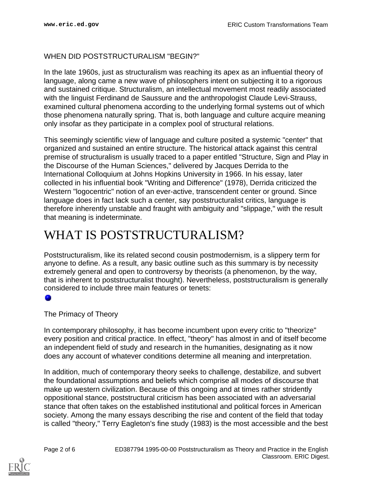### WHEN DID POSTSTRUCTURALISM "BEGIN?"

In the late 1960s, just as structuralism was reaching its apex as an influential theory of language, along came a new wave of philosophers intent on subjecting it to a rigorous and sustained critique. Structuralism, an intellectual movement most readily associated with the linguist Ferdinand de Saussure and the anthropologist Claude Levi-Strauss, examined cultural phenomena according to the underlying formal systems out of which those phenomena naturally spring. That is, both language and culture acquire meaning only insofar as they participate in a complex pool of structural relations.

This seemingly scientific view of language and culture posited a systemic "center" that organized and sustained an entire structure. The historical attack against this central premise of structuralism is usually traced to a paper entitled "Structure, Sign and Play in the Discourse of the Human Sciences," delivered by Jacques Derrida to the International Colloquium at Johns Hopkins University in 1966. In his essay, later collected in his influential book "Writing and Difference" (1978), Derrida criticized the Western "logocentric" notion of an ever-active, transcendent center or ground. Since language does in fact lack such a center, say poststructuralist critics, language is therefore inherently unstable and fraught with ambiguity and "slippage," with the result that meaning is indeterminate.

## <span id="page-1-0"></span>WHAT IS POSTSTRUCTURALISM?

Poststructuralism, like its related second cousin postmodernism, is a slippery term for anyone to define. As a result, any basic outline such as this summary is by necessity extremely general and open to controversy by theorists (a phenomenon, by the way, that is inherent to poststructuralist thought). Nevertheless, poststructuralism is generally considered to include three main features or tenets:

#### The Primacy of Theory

In contemporary philosophy, it has become incumbent upon every critic to "theorize" every position and critical practice. In effect, "theory" has almost in and of itself become an independent field of study and research in the humanities, designating as it now does any account of whatever conditions determine all meaning and interpretation.

In addition, much of contemporary theory seeks to challenge, destabilize, and subvert the foundational assumptions and beliefs which comprise all modes of discourse that make up western civilization. Because of this ongoing and at times rather stridently oppositional stance, poststructural criticism has been associated with an adversarial stance that often takes on the established institutional and political forces in American society. Among the many essays describing the rise and content of the field that today is called "theory," Terry Eagleton's fine study (1983) is the most accessible and the best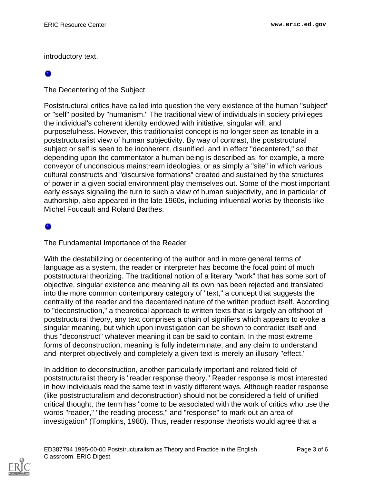introductory text.

The Decentering of the Subject

Poststructural critics have called into question the very existence of the human "subject" or "self" posited by "humanism." The traditional view of individuals in society privileges the individual's coherent identity endowed with initiative, singular will, and purposefulness. However, this traditionalist concept is no longer seen as tenable in a poststructuralist view of human subjectivity. By way of contrast, the poststructural subject or self is seen to be incoherent, disunified, and in effect "decentered," so that depending upon the commentator a human being is described as, for example, a mere conveyor of unconscious mainstream ideologies, or as simply a "site" in which various cultural constructs and "discursive formations" created and sustained by the structures of power in a given social environment play themselves out. Some of the most important early essays signaling the turn to such a view of human subjectivity, and in particular of authorship, also appeared in the late 1960s, including influential works by theorists like Michel Foucault and Roland Barthes.

### ۰

The Fundamental Importance of the Reader

With the destabilizing or decentering of the author and in more general terms of language as a system, the reader or interpreter has become the focal point of much poststructural theorizing. The traditional notion of a literary "work" that has some sort of objective, singular existence and meaning all its own has been rejected and translated into the more common contemporary category of "text," a concept that suggests the centrality of the reader and the decentered nature of the written product itself. According to "deconstruction," a theoretical approach to written texts that is largely an offshoot of poststructural theory, any text comprises a chain of signifiers which appears to evoke a singular meaning, but which upon investigation can be shown to contradict itself and thus "deconstruct" whatever meaning it can be said to contain. In the most extreme forms of deconstruction, meaning is fully indeterminate, and any claim to understand and interpret objectively and completely a given text is merely an illusory "effect."

In addition to deconstruction, another particularly important and related field of poststructuralist theory is "reader response theory." Reader response is most interested in how individuals read the same text in vastly different ways. Although reader response (like poststructuralism and deconstruction) should not be considered a field of unified critical thought, the term has "come to be associated with the work of critics who use the words "reader," "the reading process," and "response" to mark out an area of investigation" (Tompkins, 1980). Thus, reader response theorists would agree that a

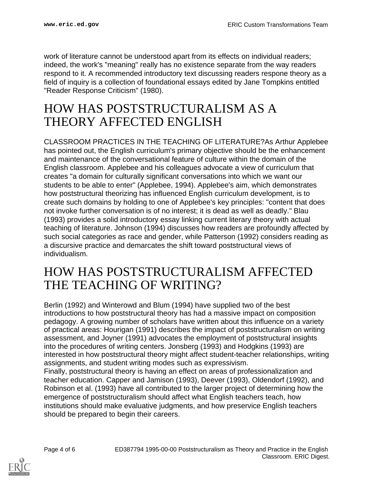work of literature cannot be understood apart from its effects on individual readers; indeed, the work's "meaning" really has no existence separate from the way readers respond to it. A recommended introductory text discussing readers respone theory as a field of inquiry is a collection of foundational essays edited by Jane Tompkins entitled "Reader Response Criticism" (1980).

## <span id="page-3-0"></span>HOW HAS POSTSTRUCTURALISM AS A THEORY AFFECTED ENGLISH

CLASSROOM PRACTICES IN THE TEACHING OF LITERATURE?As Arthur Applebee has pointed out, the English curriculum's primary objective should be the enhancement and maintenance of the conversational feature of culture within the domain of the English classroom. Applebee and his colleagues advocate a view of curriculum that creates "a domain for culturally significant conversations into which we want our students to be able to enter" (Applebee, 1994). Applebee's aim, which demonstrates how poststructural theorizing has influenced English curriculum development, is to create such domains by holding to one of Applebee's key principles: "content that does not invoke further conversation is of no interest; it is dead as well as deadly." Blau (1993) provides a solid introductory essay linking current literary theory with actual teaching of literature. Johnson (1994) discusses how readers are profoundly affected by such social categories as race and gender, while Patterson (1992) considers reading as a discursive practice and demarcates the shift toward poststructural views of individualism.

## <span id="page-3-1"></span>HOW HAS POSTSTRUCTURALISM AFFECTED THE TEACHING OF WRITING?

Berlin (1992) and Winterowd and Blum (1994) have supplied two of the best introductions to how poststructural theory has had a massive impact on composition pedagogy. A growing number of scholars have written about this influence on a variety of practical areas: Hourigan (1991) describes the impact of poststructuralism on writing assessment, and Joyner (1991) advocates the employment of poststructural insights into the procedures of writing centers. Jonsberg (1993) and Hodgkins (1993) are interested in how poststructural theory might affect student-teacher relationships, writing assignments, and student writing modes such as expressivism.

Finally, poststructural theory is having an effect on areas of professionalization and teacher education. Capper and Jamison (1993), Deever (1993), Oldendorf (1992), and Robinson et al. (1993) have all contributed to the larger project of determining how the emergence of poststructuralism should affect what English teachers teach, how institutions should make evaluative judgments, and how preservice English teachers should be prepared to begin their careers.

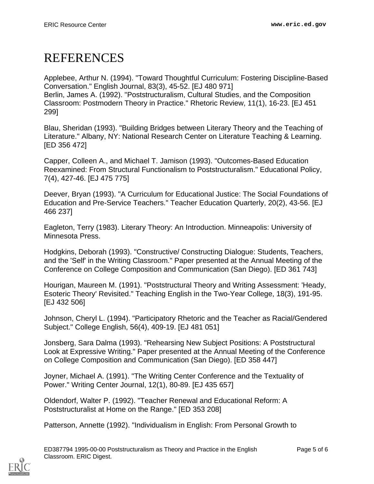## <span id="page-4-0"></span>REFERENCES

Applebee, Arthur N. (1994). "Toward Thoughtful Curriculum: Fostering Discipline-Based Conversation." English Journal, 83(3), 45-52. [EJ 480 971] Berlin, James A. (1992). "Poststructuralism, Cultural Studies, and the Composition Classroom: Postmodern Theory in Practice." Rhetoric Review, 11(1), 16-23. [EJ 451 299]

Blau, Sheridan (1993). "Building Bridges between Literary Theory and the Teaching of Literature." Albany, NY: National Research Center on Literature Teaching & Learning. [ED 356 472]

Capper, Colleen A., and Michael T. Jamison (1993). "Outcomes-Based Education Reexamined: From Structural Functionalism to Poststructuralism." Educational Policy, 7(4), 427-46. [EJ 475 775]

Deever, Bryan (1993). "A Curriculum for Educational Justice: The Social Foundations of Education and Pre-Service Teachers." Teacher Education Quarterly, 20(2), 43-56. [EJ 466 237]

Eagleton, Terry (1983). Literary Theory: An Introduction. Minneapolis: University of Minnesota Press.

Hodgkins, Deborah (1993). "Constructive/ Constructing Dialogue: Students, Teachers, and the 'Self' in the Writing Classroom." Paper presented at the Annual Meeting of the Conference on College Composition and Communication (San Diego). [ED 361 743]

Hourigan, Maureen M. (1991). "Poststructural Theory and Writing Assessment: 'Heady, Esoteric Theory' Revisited." Teaching English in the Two-Year College, 18(3), 191-95. [EJ 432 506]

Johnson, Cheryl L. (1994). "Participatory Rhetoric and the Teacher as Racial/Gendered Subject." College English, 56(4), 409-19. [EJ 481 051]

Jonsberg, Sara Dalma (1993). "Rehearsing New Subject Positions: A Poststructural Look at Expressive Writing." Paper presented at the Annual Meeting of the Conference on College Composition and Communication (San Diego). [ED 358 447]

Joyner, Michael A. (1991). "The Writing Center Conference and the Textuality of Power." Writing Center Journal, 12(1), 80-89. [EJ 435 657]

Oldendorf, Walter P. (1992). "Teacher Renewal and Educational Reform: A Poststructuralist at Home on the Range." [ED 353 208]

Patterson, Annette (1992). "Individualism in English: From Personal Growth to